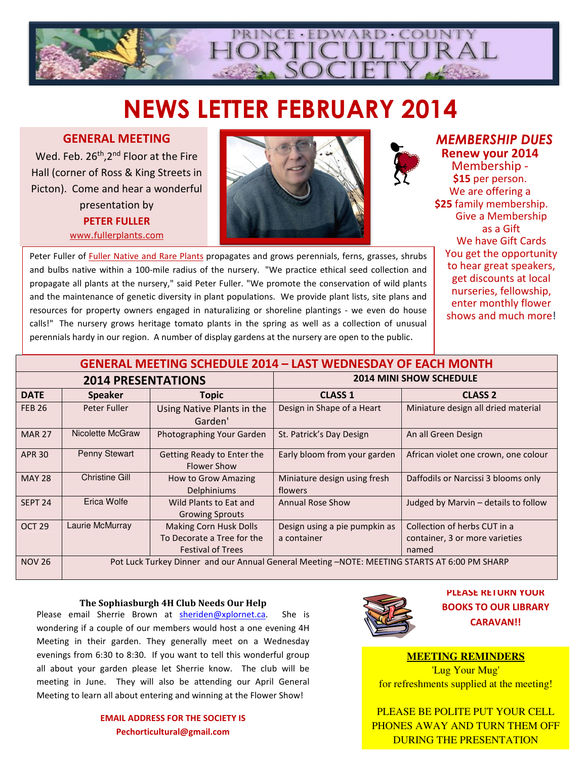

# NEWS LETTER FEBRUARY 2014

# GENERAL MEETING

Wed. Feb. 26<sup>th</sup>, 2<sup>nd</sup> Floor at the Fire Hall (corner of Ross & King Streets in Picton). Come and hear a wonderful presentation by PETER FULLER www.fullerplants.com



MEMBERSHIP DUES Renew your 2014

Membership - \$15 per person. We are offering a \$25 family membership. Give a Membership as a Gift We have Gift Cards You get the opportunity to hear great speakers, get discounts at local nurseries, fellowship, enter monthly flower shows and much more!

Peter Fuller of Fuller Native and Rare Plants propagates and grows perennials, ferns, grasses, shrubs and bulbs native within a 100-mile radius of the nursery. "We practice ethical seed collection and propagate all plants at the nursery," said Peter Fuller. "We promote the conservation of wild plants and the maintenance of genetic diversity in plant populations. We provide plant lists, site plans and resources for property owners engaged in naturalizing or shoreline plantings - we even do house calls!" The nursery grows heritage tomato plants in the spring as well as a collection of unusual perennials hardy in our region. A number of display gardens at the nursery are open to the public.

| <b>GENERAL MEETING SCHEDULE 2014 - LAST WEDNESDAY OF EACH MONTH</b> |                                                                                              |                                                  |                                         |                                      |
|---------------------------------------------------------------------|----------------------------------------------------------------------------------------------|--------------------------------------------------|-----------------------------------------|--------------------------------------|
| <b>2014 PRESENTATIONS</b>                                           |                                                                                              |                                                  | <b>2014 MINI SHOW SCHEDULE</b>          |                                      |
| <b>DATE</b>                                                         | <b>Speaker</b>                                                                               | Topic                                            | <b>CLASS 1</b>                          | <b>CLASS 2</b>                       |
| <b>FEB 26</b>                                                       | Peter Fuller                                                                                 | Using Native Plants in the<br>Garden'            | Design in Shape of a Heart              | Miniature design all dried material  |
| <b>MAR 27</b>                                                       | Nicolette McGraw                                                                             | Photographing Your Garden                        | St. Patrick's Day Design                | An all Green Design                  |
| <b>APR 30</b>                                                       | <b>Penny Stewart</b>                                                                         | Getting Ready to Enter the<br><b>Flower Show</b> | Early bloom from your garden            | African violet one crown, one colour |
| <b>MAY 28</b>                                                       | <b>Christine Gill</b>                                                                        | How to Grow Amazing<br>Delphiniums               | Miniature design using fresh<br>flowers | Daffodils or Narcissi 3 blooms only  |
| SEPT <sub>24</sub>                                                  | Erica Wolfe                                                                                  | Wild Plants to Eat and<br><b>Growing Sprouts</b> | Annual Rose Show                        | Judged by Marvin - details to follow |
| OCT <sub>29</sub>                                                   | Laurie McMurray                                                                              | <b>Making Corn Husk Dolls</b>                    | Design using a pie pumpkin as           | Collection of herbs CUT in a         |
|                                                                     |                                                                                              | To Decorate a Tree for the                       | a container                             | container, 3 or more varieties       |
|                                                                     |                                                                                              | <b>Festival of Trees</b>                         |                                         | named                                |
| <b>NOV 26</b>                                                       | Pot Luck Turkey Dinner and our Annual General Meeting -NOTE: MEETING STARTS AT 6:00 PM SHARP |                                                  |                                         |                                      |

#### The Sophiasburgh 4H Club Needs Our Help

Please email Sherrie Brown at **sheriden@xplornet.ca**. She is wondering if a couple of our members would host a one evening 4H Meeting in their garden. They generally meet on a Wednesday evenings from 6:30 to 8:30. If you want to tell this wonderful group all about your garden please let Sherrie know. The club will be meeting in June. They will also be attending our April General Meeting to learn all about entering and winning at the Flower Show!

## EMAIL ADDRESS FOR THE SOCIETY IS Pechorticultural@gmail.com



## PLEASE RETURN YOUR BOOKS TO OUR LIBRARY CARAVAN!!

## **MEETING REMINDERS**

'Lug Your Mug' for refreshments supplied at the meeting!

PLEASE BE POLITE PUT YOUR CELL PHONES AWAY AND TURN THEM OFF DURING THE PRESENTATION